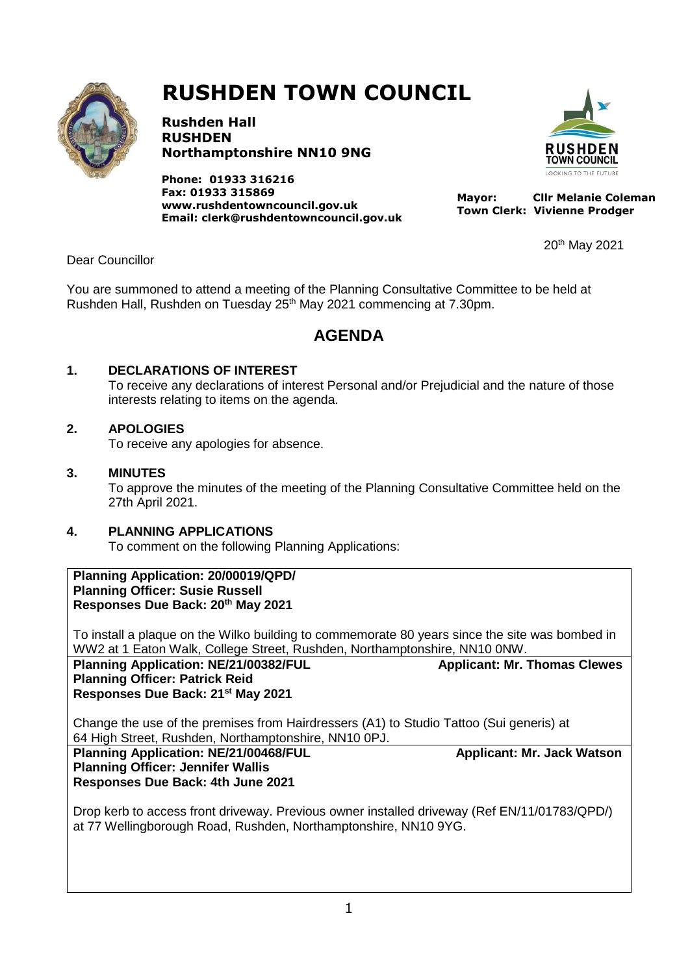

# **RUSHDEN TOWN COUNCIL**

**Rushden Hall RUSHDEN Northamptonshire NN10 9NG**

**Phone: 01933 316216 Fax: 01933 315869 [www.rushdentowncouncil.gov.uk](http://www.rushdentowncouncil.gov.uk/) Email: clerk@rushdentowncouncil.gov.uk**



 **Mayor: Cllr Melanie Coleman Town Clerk: Vivienne Prodger**

20 th May 2021

Dear Councillor

You are summoned to attend a meeting of the Planning Consultative Committee to be held at Rushden Hall, Rushden on Tuesday 25<sup>th</sup> May 2021 commencing at 7.30pm.

# **AGENDA**

#### **1. DECLARATIONS OF INTEREST**

To receive any declarations of interest Personal and/or Prejudicial and the nature of those interests relating to items on the agenda.

#### **2. APOLOGIES**

To receive any apologies for absence.

#### **3. MINUTES**

To approve the minutes of the meeting of the Planning Consultative Committee held on the 27th April 2021.

## **4. PLANNING APPLICATIONS**

To comment on the following Planning Applications:

**Planning Application: 20/00019/QPD/ Planning Officer: Susie Russell Responses Due Back: 20th May 2021**

To install a plaque on the Wilko building to commemorate 80 years since the site was bombed in WW2 at 1 Eaton Walk, College Street, Rushden, Northamptonshire, NN10 0NW.

Planning Application: NE/21/00382/FUL Applicant: Mr. Thomas Clewes **Planning Officer: Patrick Reid**

## **Responses Due Back: 21st May 2021**

Change the use of the premises from Hairdressers (A1) to Studio Tattoo (Sui generis) at 64 High Street, Rushden, Northamptonshire, NN10 0PJ.

Planning Application: NE/21/00468/FUL **All Applicant: Mr. Jack Watson Planning Officer: Jennifer Wallis Responses Due Back: 4th June 2021**

Drop kerb to access front driveway. Previous owner installed driveway (Ref EN/11/01783/QPD/) at 77 Wellingborough Road, Rushden, Northamptonshire, NN10 9YG.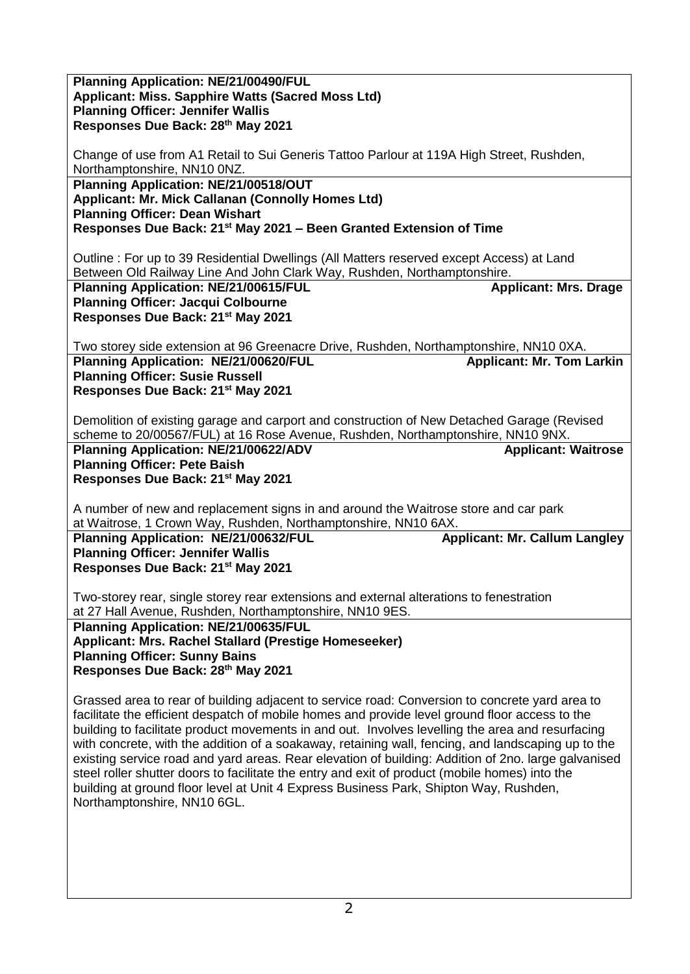| <b>Planning Application: NE/21/00490/FUL</b>                                                        |  |  |
|-----------------------------------------------------------------------------------------------------|--|--|
| Applicant: Miss. Sapphire Watts (Sacred Moss Ltd)                                                   |  |  |
| <b>Planning Officer: Jennifer Wallis</b>                                                            |  |  |
|                                                                                                     |  |  |
| Responses Due Back: 28th May 2021                                                                   |  |  |
|                                                                                                     |  |  |
| Change of use from A1 Retail to Sui Generis Tattoo Parlour at 119A High Street, Rushden,            |  |  |
|                                                                                                     |  |  |
| Northamptonshire, NN10 0NZ.                                                                         |  |  |
| Planning Application: NE/21/00518/OUT                                                               |  |  |
| Applicant: Mr. Mick Callanan (Connolly Homes Ltd)                                                   |  |  |
|                                                                                                     |  |  |
| <b>Planning Officer: Dean Wishart</b>                                                               |  |  |
| Responses Due Back: 21 <sup>st</sup> May 2021 – Been Granted Extension of Time                      |  |  |
|                                                                                                     |  |  |
|                                                                                                     |  |  |
| Outline: For up to 39 Residential Dwellings (All Matters reserved except Access) at Land            |  |  |
| Between Old Railway Line And John Clark Way, Rushden, Northamptonshire.                             |  |  |
| Planning Application: NE/21/00615/FUL<br><b>Applicant: Mrs. Drage</b>                               |  |  |
|                                                                                                     |  |  |
| <b>Planning Officer: Jacqui Colbourne</b>                                                           |  |  |
| Responses Due Back: 21 <sup>st</sup> May 2021                                                       |  |  |
|                                                                                                     |  |  |
|                                                                                                     |  |  |
| Two storey side extension at 96 Greenacre Drive, Rushden, Northamptonshire, NN10 0XA.               |  |  |
| Planning Application: NE/21/00620/FUL<br><b>Applicant: Mr. Tom Larkin</b>                           |  |  |
| <b>Planning Officer: Susie Russell</b>                                                              |  |  |
|                                                                                                     |  |  |
| Responses Due Back: 21 <sup>st</sup> May 2021                                                       |  |  |
|                                                                                                     |  |  |
| Demolition of existing garage and carport and construction of New Detached Garage (Revised          |  |  |
|                                                                                                     |  |  |
| scheme to 20/00567/FUL) at 16 Rose Avenue, Rushden, Northamptonshire, NN10 9NX.                     |  |  |
| Planning Application: NE/21/00622/ADV<br><b>Applicant: Waitrose</b>                                 |  |  |
| <b>Planning Officer: Pete Baish</b>                                                                 |  |  |
|                                                                                                     |  |  |
|                                                                                                     |  |  |
| Responses Due Back: 21 <sup>st</sup> May 2021                                                       |  |  |
|                                                                                                     |  |  |
|                                                                                                     |  |  |
| A number of new and replacement signs in and around the Waitrose store and car park                 |  |  |
| at Waitrose, 1 Crown Way, Rushden, Northamptonshire, NN10 6AX.                                      |  |  |
| Planning Application: NE/21/00632/FUL                                                               |  |  |
| <b>Applicant: Mr. Callum Langley</b>                                                                |  |  |
| <b>Planning Officer: Jennifer Wallis</b>                                                            |  |  |
| Responses Due Back: 21 <sup>st</sup> May 2021                                                       |  |  |
|                                                                                                     |  |  |
|                                                                                                     |  |  |
| Two-storey rear, single storey rear extensions and external alterations to fenestration             |  |  |
| at 27 Hall Avenue, Rushden, Northamptonshire, NN10 9ES.                                             |  |  |
| Planning Application: NE/21/00635/FUL                                                               |  |  |
|                                                                                                     |  |  |
| Applicant: Mrs. Rachel Stallard (Prestige Homeseeker)                                               |  |  |
| <b>Planning Officer: Sunny Bains</b>                                                                |  |  |
| Responses Due Back: 28th May 2021                                                                   |  |  |
|                                                                                                     |  |  |
|                                                                                                     |  |  |
| Grassed area to rear of building adjacent to service road: Conversion to concrete yard area to      |  |  |
| facilitate the efficient despatch of mobile homes and provide level ground floor access to the      |  |  |
|                                                                                                     |  |  |
| building to facilitate product movements in and out. Involves levelling the area and resurfacing    |  |  |
| with concrete, with the addition of a soakaway, retaining wall, fencing, and landscaping up to the  |  |  |
| existing service road and yard areas. Rear elevation of building: Addition of 2no. large galvanised |  |  |
|                                                                                                     |  |  |
| steel roller shutter doors to facilitate the entry and exit of product (mobile homes) into the      |  |  |
| building at ground floor level at Unit 4 Express Business Park, Shipton Way, Rushden,               |  |  |
| Northamptonshire, NN10 6GL.                                                                         |  |  |
|                                                                                                     |  |  |
|                                                                                                     |  |  |
|                                                                                                     |  |  |
|                                                                                                     |  |  |
|                                                                                                     |  |  |
|                                                                                                     |  |  |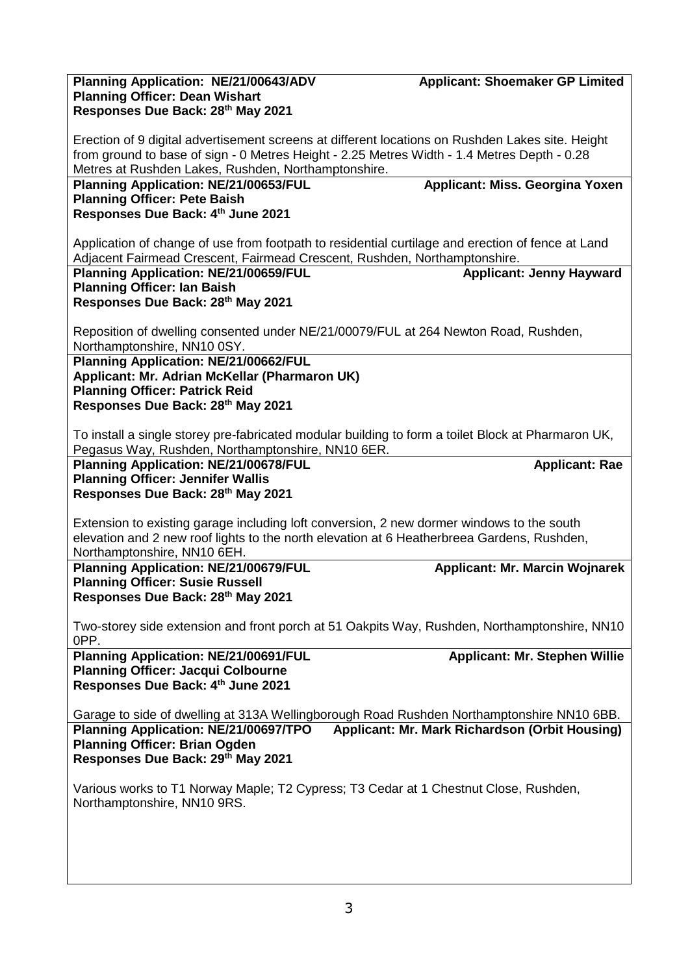| Planning Application: NE/21/00643/ADV                                                                                                                 | <b>Applicant: Shoemaker GP Limited</b> |  |
|-------------------------------------------------------------------------------------------------------------------------------------------------------|----------------------------------------|--|
| <b>Planning Officer: Dean Wishart</b>                                                                                                                 |                                        |  |
| Responses Due Back: 28th May 2021                                                                                                                     |                                        |  |
|                                                                                                                                                       |                                        |  |
| Erection of 9 digital advertisement screens at different locations on Rushden Lakes site. Height                                                      |                                        |  |
| from ground to base of sign - 0 Metres Height - 2.25 Metres Width - 1.4 Metres Depth - 0.28                                                           |                                        |  |
| Metres at Rushden Lakes, Rushden, Northamptonshire.                                                                                                   |                                        |  |
| <b>Planning Application: NE/21/00653/FUL</b>                                                                                                          | Applicant: Miss. Georgina Yoxen        |  |
| <b>Planning Officer: Pete Baish</b>                                                                                                                   |                                        |  |
| Responses Due Back: 4th June 2021                                                                                                                     |                                        |  |
| Application of change of use from footpath to residential curtilage and erection of fence at Land                                                     |                                        |  |
|                                                                                                                                                       |                                        |  |
| Adjacent Fairmead Crescent, Fairmead Crescent, Rushden, Northamptonshire.<br><b>Applicant: Jenny Hayward</b><br>Planning Application: NE/21/00659/FUL |                                        |  |
| <b>Planning Officer: Ian Baish</b>                                                                                                                    |                                        |  |
| Responses Due Back: 28th May 2021                                                                                                                     |                                        |  |
|                                                                                                                                                       |                                        |  |
| Reposition of dwelling consented under NE/21/00079/FUL at 264 Newton Road, Rushden,                                                                   |                                        |  |
| Northamptonshire, NN10 0SY.                                                                                                                           |                                        |  |
| Planning Application: NE/21/00662/FUL                                                                                                                 |                                        |  |
| Applicant: Mr. Adrian McKellar (Pharmaron UK)                                                                                                         |                                        |  |
| <b>Planning Officer: Patrick Reid</b>                                                                                                                 |                                        |  |
| Responses Due Back: 28th May 2021                                                                                                                     |                                        |  |
|                                                                                                                                                       |                                        |  |
| To install a single storey pre-fabricated modular building to form a toilet Block at Pharmaron UK,                                                    |                                        |  |
| Pegasus Way, Rushden, Northamptonshire, NN10 6ER.                                                                                                     |                                        |  |
| <b>Planning Application: NE/21/00678/FUL</b>                                                                                                          | <b>Applicant: Rae</b>                  |  |
| <b>Planning Officer: Jennifer Wallis</b>                                                                                                              |                                        |  |
| Responses Due Back: 28th May 2021                                                                                                                     |                                        |  |
|                                                                                                                                                       |                                        |  |
| Extension to existing garage including loft conversion, 2 new dormer windows to the south                                                             |                                        |  |
| elevation and 2 new roof lights to the north elevation at 6 Heatherbreea Gardens, Rushden,                                                            |                                        |  |
| Northamptonshire, NN10 6EH.                                                                                                                           |                                        |  |
| <b>Planning Application: NE/21/00679/FUL</b>                                                                                                          | <b>Applicant: Mr. Marcin Wojnarek</b>  |  |
| <b>Planning Officer: Susie Russell</b>                                                                                                                |                                        |  |
| Responses Due Back: 28th May 2021                                                                                                                     |                                        |  |
|                                                                                                                                                       |                                        |  |
| Two-storey side extension and front porch at 51 Oakpits Way, Rushden, Northamptonshire, NN10<br>OPP.                                                  |                                        |  |
| Planning Application: NE/21/00691/FUL                                                                                                                 | <b>Applicant: Mr. Stephen Willie</b>   |  |
| <b>Planning Officer: Jacqui Colbourne</b>                                                                                                             |                                        |  |
| Responses Due Back: 4th June 2021                                                                                                                     |                                        |  |
|                                                                                                                                                       |                                        |  |
| Garage to side of dwelling at 313A Wellingborough Road Rushden Northamptonshire NN10 6BB.                                                             |                                        |  |
| Planning Application: NE/21/00697/TPO<br>Applicant: Mr. Mark Richardson (Orbit Housing)                                                               |                                        |  |
| <b>Planning Officer: Brian Ogden</b>                                                                                                                  |                                        |  |
| Responses Due Back: 29th May 2021                                                                                                                     |                                        |  |
|                                                                                                                                                       |                                        |  |
| Various works to T1 Norway Maple; T2 Cypress; T3 Cedar at 1 Chestnut Close, Rushden,                                                                  |                                        |  |
| Northamptonshire, NN10 9RS.                                                                                                                           |                                        |  |
|                                                                                                                                                       |                                        |  |
|                                                                                                                                                       |                                        |  |
|                                                                                                                                                       |                                        |  |
|                                                                                                                                                       |                                        |  |